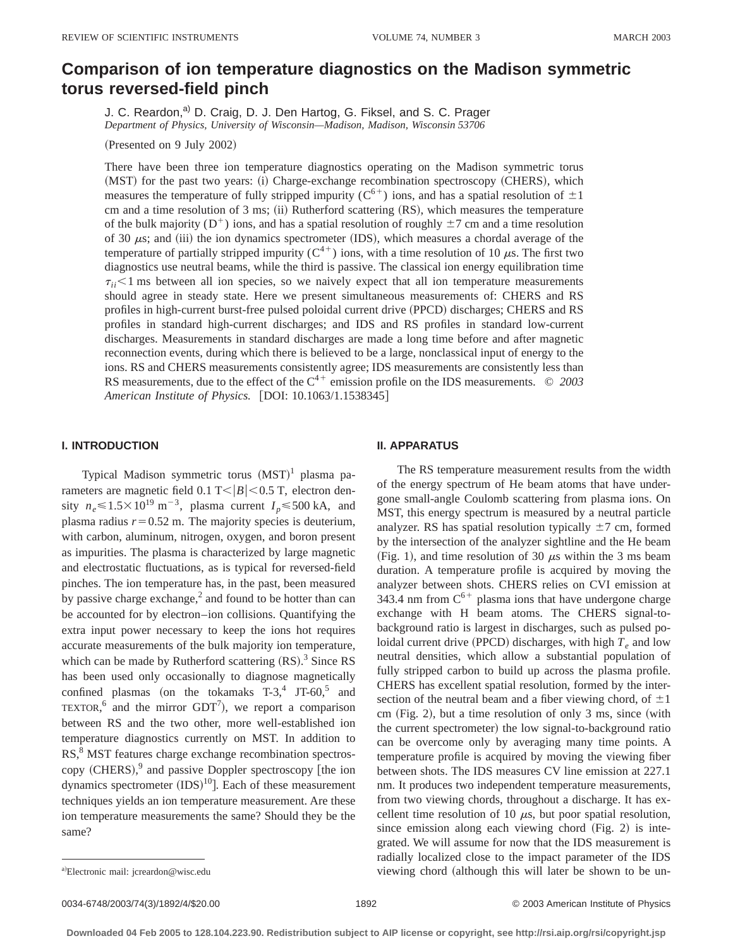# **Comparison of ion temperature diagnostics on the Madison symmetric torus reversed-field pinch**

J. C. Reardon,<sup>a)</sup> D. Craig, D. J. Den Hartog, G. Fiksel, and S. C. Prager *Department of Physics, University of Wisconsin—Madison, Madison, Wisconsin 53706*

(Presented on 9 July 2002)

There have been three ion temperature diagnostics operating on the Madison symmetric torus (MST) for the past two years: (i) Charge-exchange recombination spectroscopy (CHERS), which measures the temperature of fully stripped impurity ( $C^{6+}$ ) ions, and has a spatial resolution of  $\pm 1$ cm and a time resolution of 3 ms; (ii) Rutherford scattering (RS), which measures the temperature of the bulk majority ( $D^+$ ) ions, and has a spatial resolution of roughly  $\pm 7$  cm and a time resolution of 30  $\mu$ s; and (iii) the ion dynamics spectrometer (IDS), which measures a chordal average of the temperature of partially stripped impurity ( $C^{4+}$ ) ions, with a time resolution of 10  $\mu$ s. The first two diagnostics use neutral beams, while the third is passive. The classical ion energy equilibration time  $\tau_{ii}$ <1 ms between all ion species, so we naively expect that all ion temperature measurements should agree in steady state. Here we present simultaneous measurements of: CHERS and RS profiles in high-current burst-free pulsed poloidal current drive (PPCD) discharges; CHERS and RS profiles in standard high-current discharges; and IDS and RS profiles in standard low-current discharges. Measurements in standard discharges are made a long time before and after magnetic reconnection events, during which there is believed to be a large, nonclassical input of energy to the ions. RS and CHERS measurements consistently agree; IDS measurements are consistently less than RS measurements, due to the effect of the  $C^{4+}$  emission profile on the IDS measurements.  $\circ$  2003 *American Institute of Physics.* [DOI: 10.1063/1.1538345]

# **I. INTRODUCTION**

Typical Madison symmetric torus  $(MST)^1$  plasma parameters are magnetic field 0.1 T< $|B|$  < 0.5 T, electron density  $n_e \le 1.5 \times 10^{19} \text{ m}^{-3}$ , plasma current  $I_p \le 500 \text{ kA}$ , and plasma radius  $r=0.52$  m. The majority species is deuterium, with carbon, aluminum, nitrogen, oxygen, and boron present as impurities. The plasma is characterized by large magnetic and electrostatic fluctuations, as is typical for reversed-field pinches. The ion temperature has, in the past, been measured by passive charge exchange, $^2$  and found to be hotter than can be accounted for by electron–ion collisions. Quantifying the extra input power necessary to keep the ions hot requires accurate measurements of the bulk majority ion temperature, which can be made by Rutherford scattering  $(RS)$ .<sup>3</sup> Since RS has been used only occasionally to diagnose magnetically confined plasmas (on the tokamaks  $T-3$ ,  $T-60$ , and TEXTOR,  $^6$  and the mirror GDT<sup>7</sup>), we report a comparison between RS and the two other, more well-established ion temperature diagnostics currently on MST. In addition to RS,<sup>8</sup> MST features charge exchange recombination spectroscopy (CHERS), $9$  and passive Doppler spectroscopy [the ion dynamics spectrometer  $(IDS)^{10}$ ]. Each of these measurement techniques yields an ion temperature measurement. Are these ion temperature measurements the same? Should they be the same?

### **II. APPARATUS**

The RS temperature measurement results from the width of the energy spectrum of He beam atoms that have undergone small-angle Coulomb scattering from plasma ions. On MST, this energy spectrum is measured by a neutral particle analyzer. RS has spatial resolution typically  $\pm$ 7 cm, formed by the intersection of the analyzer sightline and the He beam (Fig. 1), and time resolution of 30  $\mu$ s within the 3 ms beam duration. A temperature profile is acquired by moving the analyzer between shots. CHERS relies on CVI emission at 343.4 nm from  $C^{6+}$  plasma ions that have undergone charge exchange with H beam atoms. The CHERS signal-tobackground ratio is largest in discharges, such as pulsed poloidal current drive (PPCD) discharges, with high  $T_e$  and low neutral densities, which allow a substantial population of fully stripped carbon to build up across the plasma profile. CHERS has excellent spatial resolution, formed by the intersection of the neutral beam and a fiber viewing chord, of  $\pm 1$ cm  $(Fig. 2)$ , but a time resolution of only 3 ms, since (with the current spectrometer) the low signal-to-background ratio can be overcome only by averaging many time points. A temperature profile is acquired by moving the viewing fiber between shots. The IDS measures CV line emission at 227.1 nm. It produces two independent temperature measurements, from two viewing chords, throughout a discharge. It has excellent time resolution of 10  $\mu$ s, but poor spatial resolution, since emission along each viewing chord  $(Fig. 2)$  is integrated. We will assume for now that the IDS measurement is radially localized close to the impact parameter of the IDS viewing chord (although this will later be shown to be un-

a)Electronic mail: jcreardon@wisc.edu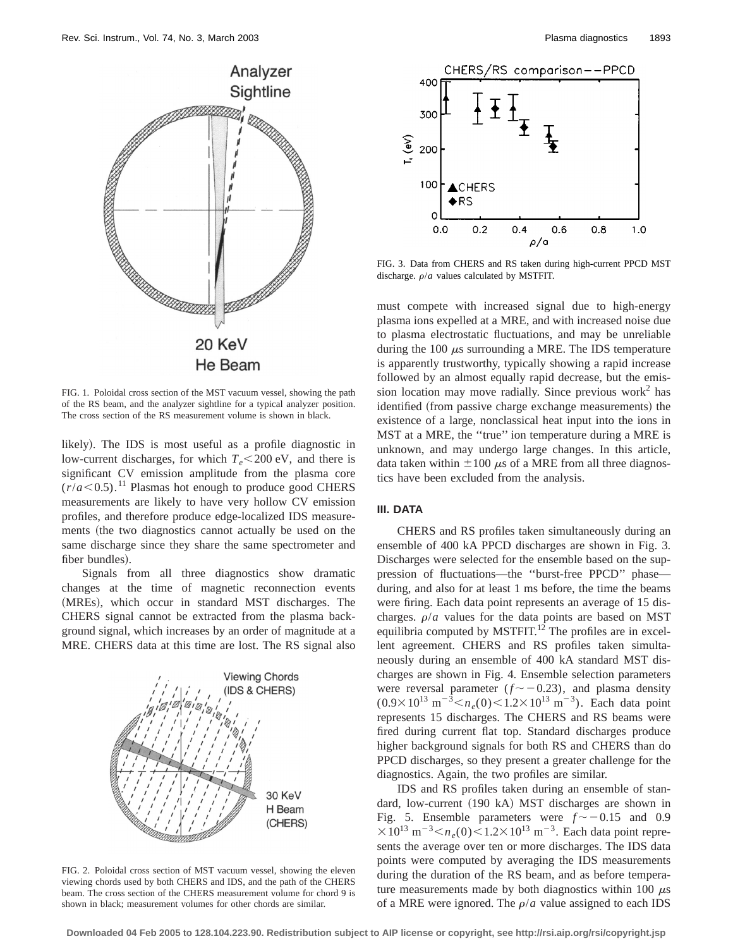

FIG. 1. Poloidal cross section of the MST vacuum vessel, showing the path of the RS beam, and the analyzer sightline for a typical analyzer position. The cross section of the RS measurement volume is shown in black.

likely). The IDS is most useful as a profile diagnostic in low-current discharges, for which  $T_e$ <200 eV, and there is significant CV emission amplitude from the plasma core  $(r/a < 0.5)$ .<sup>11</sup> Plasmas hot enough to produce good CHERS measurements are likely to have very hollow CV emission profiles, and therefore produce edge-localized IDS measurements (the two diagnostics cannot actually be used on the same discharge since they share the same spectrometer and fiber bundles).

Signals from all three diagnostics show dramatic changes at the time of magnetic reconnection events (MREs), which occur in standard MST discharges. The CHERS signal cannot be extracted from the plasma background signal, which increases by an order of magnitude at a MRE. CHERS data at this time are lost. The RS signal also



FIG. 2. Poloidal cross section of MST vacuum vessel, showing the eleven viewing chords used by both CHERS and IDS, and the path of the CHERS beam. The cross section of the CHERS measurement volume for chord 9 is shown in black; measurement volumes for other chords are similar.



FIG. 3. Data from CHERS and RS taken during high-current PPCD MST discharge.  $\rho/a$  values calculated by MSTFIT.

must compete with increased signal due to high-energy plasma ions expelled at a MRE, and with increased noise due to plasma electrostatic fluctuations, and may be unreliable during the 100  $\mu$ s surrounding a MRE. The IDS temperature is apparently trustworthy, typically showing a rapid increase followed by an almost equally rapid decrease, but the emission location may move radially. Since previous work<sup>2</sup> has identified (from passive charge exchange measurements) the existence of a large, nonclassical heat input into the ions in MST at a MRE, the ''true'' ion temperature during a MRE is unknown, and may undergo large changes. In this article, data taken within  $\pm 100 \mu s$  of a MRE from all three diagnostics have been excluded from the analysis.

# **III. DATA**

CHERS and RS profiles taken simultaneously during an ensemble of 400 kA PPCD discharges are shown in Fig. 3. Discharges were selected for the ensemble based on the suppression of fluctuations—the ''burst-free PPCD'' phase during, and also for at least 1 ms before, the time the beams were firing. Each data point represents an average of 15 discharges.  $\rho/a$  values for the data points are based on MST equilibria computed by MSTFIT.<sup>12</sup> The profiles are in excellent agreement. CHERS and RS profiles taken simultaneously during an ensemble of 400 kA standard MST discharges are shown in Fig. 4. Ensemble selection parameters were reversal parameter  $(f \sim -0.23)$ , and plasma density  $(0.9 \times 10^{13} \text{ m}^{-3} < n_e(0) < 1.2 \times 10^{13} \text{ m}^{-3})$ . Each data point represents 15 discharges. The CHERS and RS beams were fired during current flat top. Standard discharges produce higher background signals for both RS and CHERS than do PPCD discharges, so they present a greater challenge for the diagnostics. Again, the two profiles are similar.

IDS and RS profiles taken during an ensemble of standard, low-current (190 kA) MST discharges are shown in Fig. 5. Ensemble parameters were  $f \sim -0.15$  and 0.9  $\times 10^{13}$  m<sup>-3</sup>  $<$ n<sub>e</sub>(0) $<$ 1.2 $\times$ 10<sup>13</sup> m<sup>-3</sup>. Each data point represents the average over ten or more discharges. The IDS data points were computed by averaging the IDS measurements during the duration of the RS beam, and as before temperature measurements made by both diagnostics within 100  $\mu$ s of a MRE were ignored. The  $\rho/a$  value assigned to each IDS

**Downloaded 04 Feb 2005 to 128.104.223.90. Redistribution subject to AIP license or copyright, see http://rsi.aip.org/rsi/copyright.jsp**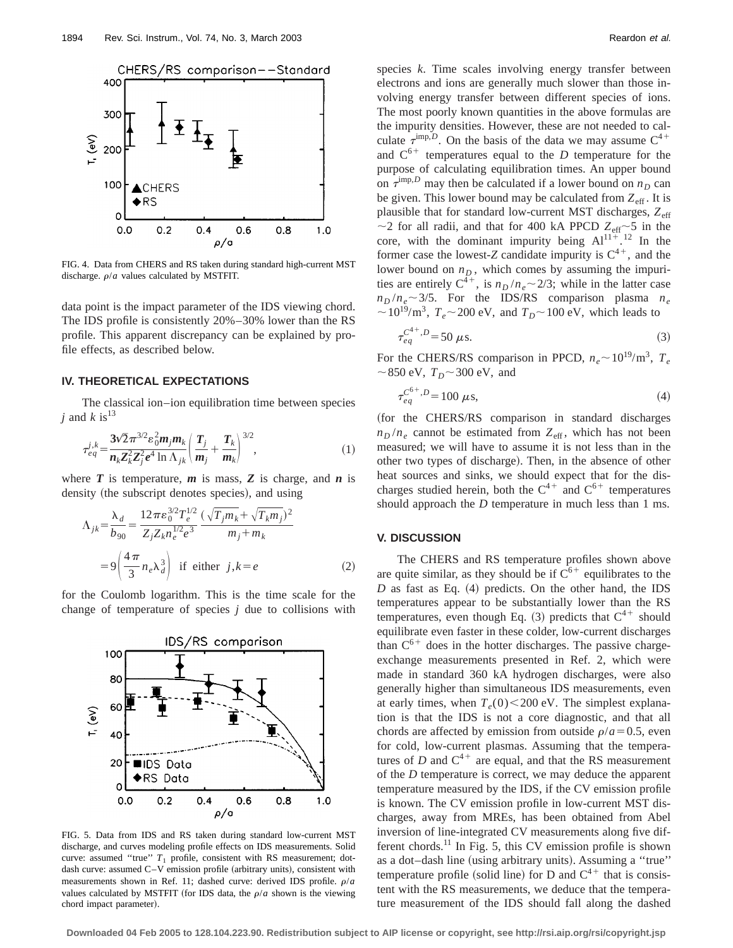

FIG. 4. Data from CHERS and RS taken during standard high-current MST discharge.  $\rho/a$  values calculated by MSTFIT.

data point is the impact parameter of the IDS viewing chord. The IDS profile is consistently 20%–30% lower than the RS profile. This apparent discrepancy can be explained by profile effects, as described below.

#### **IV. THEORETICAL EXPECTATIONS**

The classical ion–ion equilibration time between species *j* and  $k$  is<sup>13</sup>

$$
\tau_{eq}^{j,k} = \frac{3\sqrt{2}\pi^{3/2} \varepsilon_0^2 m_j m_k}{n_k Z_k^2 Z_j^2 e^4 \ln \Lambda_{jk}} \left(\frac{T_j}{m_j} + \frac{T_k}{m_k}\right)^{3/2},\tag{1}
$$

where  $T$  is temperature,  $m$  is mass,  $Z$  is charge, and  $n$  is density (the subscript denotes species), and using

$$
\Lambda_{jk} = \frac{\lambda_d}{b_{90}} = \frac{12\pi\epsilon_0^{3/2} T_e^{1/2}}{Z_j Z_k n_e^{1/2} e^3} \frac{(\sqrt{T_j m_k} + \sqrt{T_k m_j})^2}{m_j + m_k}
$$
  
=  $9\left(\frac{4\pi}{3} n_e \lambda_d^3\right)$  if either  $j, k = e$  (2)

for the Coulomb logarithm. This is the time scale for the change of temperature of species *j* due to collisions with



FIG. 5. Data from IDS and RS taken during standard low-current MST discharge, and curves modeling profile effects on IDS measurements. Solid curve: assumed "true"  $T_1$  profile, consistent with RS measurement; dotdash curve: assumed  $C-V$  emission profile (arbitrary units), consistent with measurements shown in Ref. 11; dashed curve: derived IDS profile.  $\rho/a$ values calculated by MSTFIT (for IDS data, the  $\rho/a$  shown is the viewing chord impact parameter).

species *k*. Time scales involving energy transfer between electrons and ions are generally much slower than those involving energy transfer between different species of ions. The most poorly known quantities in the above formulas are the impurity densities. However, these are not needed to calculate  $\tau^{\text{imp},D}$ . On the basis of the data we may assume  $C^{4+}$ and  $C^{6+}$  temperatures equal to the *D* temperature for the purpose of calculating equilibration times. An upper bound on  $\tau^{\text{imp},D}$  may then be calculated if a lower bound on  $n_D$  can be given. This lower bound may be calculated from  $Z_{\text{eff}}$ . It is plausible that for standard low-current MST discharges,  $Z_{\text{eff}}$  $\sim$ 2 for all radii, and that for 400 kA PPCD  $Z_{\text{eff}}$  $\sim$ 5 in the core, with the dominant impurity being  $Al^{11+}$ .<sup>12</sup> In the former case the lowest-*Z* candidate impurity is  $C^{4+}$ , and the lower bound on  $n_D$ , which comes by assuming the impurities are entirely  $C^{\bar{4}+}$ , is  $n_D/n_e \sim 2/3$ ; while in the latter case  $n_D/n_e \sim 3/5$ . For the IDS/RS comparison plasma  $n_e$  $\sim 10^{19}$ /m<sup>3</sup>,  $T_e \sim 200$  eV, and  $T_D \sim 100$  eV, which leads to

$$
\tau_{eq}^{C^{4+},D} = 50 \,\,\mu\text{s}.\tag{3}
$$

For the CHERS/RS comparison in PPCD,  $n_e \sim 10^{19} \text{/m}^3$ ,  $T_e$  $\sim$ 850 eV,  $T_D$  $\sim$ 300 eV, and

$$
\tau_{eq}^{C^{6+},D} = 100 \,\,\mu s,\tag{4}
$$

(for the CHERS/RS comparison in standard discharges  $n_D/n_e$  cannot be estimated from  $Z_{\text{eff}}$ , which has not been measured; we will have to assume it is not less than in the other two types of discharge). Then, in the absence of other heat sources and sinks, we should expect that for the discharges studied herein, both the  $C^{4+}$  and  $C^{6+}$  temperatures should approach the *D* temperature in much less than 1 ms.

## **V. DISCUSSION**

The CHERS and RS temperature profiles shown above are quite similar, as they should be if  $C^{6+}$  equilibrates to the  $D$  as fast as Eq.  $(4)$  predicts. On the other hand, the IDS temperatures appear to be substantially lower than the RS temperatures, even though Eq.  $(3)$  predicts that  $C^{4+}$  should equilibrate even faster in these colder, low-current discharges than  $C^{6+}$  does in the hotter discharges. The passive chargeexchange measurements presented in Ref. 2, which were made in standard 360 kA hydrogen discharges, were also generally higher than simultaneous IDS measurements, even at early times, when  $T_e(0)$  < 200 eV. The simplest explanation is that the IDS is not a core diagnostic, and that all chords are affected by emission from outside  $\rho/a = 0.5$ , even for cold, low-current plasmas. Assuming that the temperatures of *D* and  $C^{4+}$  are equal, and that the RS measurement of the *D* temperature is correct, we may deduce the apparent temperature measured by the IDS, if the CV emission profile is known. The CV emission profile in low-current MST discharges, away from MREs, has been obtained from Abel inversion of line-integrated CV measurements along five different chords.<sup>11</sup> In Fig. 5, this CV emission profile is shown as a dot-dash line (using arbitrary units). Assuming a "true" temperature profile (solid line) for D and  $C^{4+}$  that is consistent with the RS measurements, we deduce that the temperature measurement of the IDS should fall along the dashed

**Downloaded 04 Feb 2005 to 128.104.223.90. Redistribution subject to AIP license or copyright, see http://rsi.aip.org/rsi/copyright.jsp**